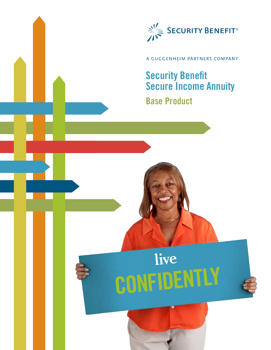

## A GUGGENHEIM PARTNERS COMPANY

## **Security Benefit Secure Income Annuity**

## **Base Product**

**live CONFIDENTLY**

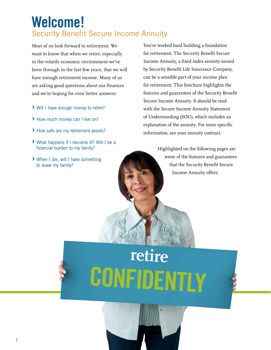## **Welcome!** Security Benefit Secure Income Annuity

Most of us look forward to retirement. We want to know that when we retire, especially in the volatile economic environment we've been through in the last few years, that we will have enough retirement income. Many of us are asking good questions about our finances and we're hoping for even better answers:

- **›** Will I have enough money to retire?
- **›** How much money can I live on?
- **›** How safe are my retirement assets?
- **›** What happens if I become ill? Will I be a financial burden to my family?
- **›** When I die, will I have something to leave my family?

You've worked hard building a foundation for retirement. The Security Benefit Secure Income Annuity, a fixed index annuity issued by Security Benefit Life Insurance Company, can be a sensible part of your income plan for retirement. This brochure highlights the features and guarantees of the Security Benefit Secure Income Annuity. It should be read with the Secure Income Annuity Statement of Understanding (SOU), which includes an explanation of the annuity. For more specific information, see your annuity contract.

> Highlighted on the following pages are some of the features and guarantees that the Security Benefit Secure Income Annuity offers.

# **retire CONFIDENTLY**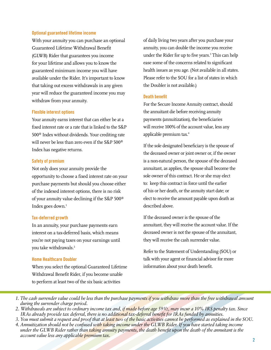#### **Optional guaranteed lifetime income**

With your annuity you can purchase an optional Guaranteed Lifetime Withdrawal Benefit (GLWB) Rider that guarantees you income for your lifetime and allows you to know the guaranteed minimum income you will have available under the Rider. It's important to know that taking out excess withdrawals in any given year will reduce the guaranteed income you may withdraw from your annuity.

#### **Flexible interest options**

Your annuity earns interest that can either be at a fixed interest rate or a rate that is linked to the S&P 500® Index without dividends. Your crediting rate will never be less than zero even if the S&P 500® Index has negative returns.

#### **Safety of premium**

Not only does your annuity provide the opportunity to choose a fixed interest rate on your purchase payments but should you choose either of the indexed interest options, there is no risk of your annuity value declining if the S&P 500® Index goes down.<sup>1</sup>

#### **Tax-deferred growth**

In an annuity, your purchase payments earn interest on a tax-deferred basis, which means you're not paying taxes on your earnings until you take withdrawals.<sup>2</sup>

#### **Home Healthcare Doubler**

When you select the optional Guaranteed Lifetime Withdrawal Benefit Rider, if you become unable to perform at least two of the six basic activities

of daily living two years after you purchase your annuity, you can double the income you receive under the Rider for up to five years.3 This can help ease some of the concerns related to significant health issues as you age. (Not available in all states. Please refer to the SOU for a list of states in which the Doubler is not available.)

#### **Death benefit**

For the Secure Income Annuity contract, should the annuitant die before receiving annuity payments (annuitization), the beneficiaries will receive 100% of the account value, less any applicable premium tax.4

If the sole designated beneficiary is the spouse of the deceased owner or joint owner or, if the owner is a non-natural person, the spouse of the deceased annuitant, as applies, the spouse shall become the sole owner of this contract. He or she may elect to: keep this contract in force until the earlier of his or her death, or the annuity start date; or elect to receive the amount payable upon death as described above.

If the deceased owner is the spouse of the annuitant, they will receive the account value. If the deceased owner is not the spouse of the annuitant, they will receive the cash surrender value.

Refer to the Statement of Understanding (SOU) or talk with your agent or financial advisor for more information about your death benefit.

*1. The cash surrender value could be less than the purchase payments if you withdraw more than the free withdrawal amount during the surrender charge period.*

- *2. Withdrawals are subject to ordinary income tax and, if made before age 591/2, may incur a 10% IRS penalty tax. Since IRAs already provide tax deferral, there is no additional tax-deferral benefit for IRAs funded by annuities.*
- *3. You must submit a request and proof that at least two of the basic activities cannot be performed as explained in the SOU.*
- *4. Annuitization should not be confused with taking income under the GLWB Rider. If you have started taking income under the GLWB Rider rather than taking annuity payments, the death benefit upon the death of the annuitant is the account value less any applicable premium tax.*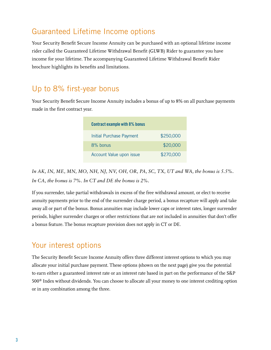## Guaranteed Lifetime Income options

Your Security Benefit Secure Income Annuity can be purchased with an optional lifetime income rider called the Guaranteed Lifetime Withdrawal Benefit (GLWB) Rider to guarantee you have income for your lifetime. The accompanying Guaranteed Lifetime Withdrawal Benefit Rider brochure highlights its benefits and limitations.

## Up to 8% first-year bonus

Your Security Benefit Secure Income Annuity includes a bonus of up to 8% on all purchase payments made in the first contract year.

| <b>Contract example with 8% bonus</b> |           |
|---------------------------------------|-----------|
| <b>Initial Purchase Payment</b>       | \$250,000 |
| 8% bonus                              | \$20,000  |
| Account Value upon issue              | \$270,000 |

*In AK, IN, ME, MN, MO, NH, NJ, NV, OH, OR, PA, SC, TX, UT and WA, the bonus is 5.5%. In CA, the bonus is 7%. In CT and DE the bonus is 2%.*

If you surrender, take partial withdrawals in excess of the free withdrawal amount, or elect to receive annuity payments prior to the end of the surrender charge period, a bonus recapture will apply and take away all or part of the bonus. Bonus annuities may include lower caps or interest rates, longer surrender periods, higher surrender charges or other restrictions that are not included in annuities that don't offer a bonus feature. The bonus recapture provision does not apply in CT or DE.

## Your interest options

The Security Benefit Secure Income Annuity offers three different interest options to which you may allocate your initial purchase payment. These options (shown on the next page) give you the potential to earn either a guaranteed interest rate or an interest rate based in part on the performance of the S&P 500® Index without dividends. You can choose to allocate all your money to one interest crediting option or in any combination among the three.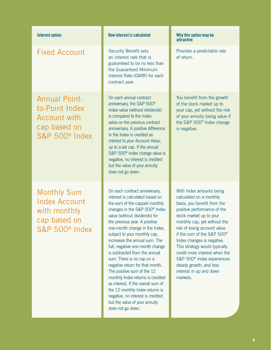## Fixed Account

Annual Pointto-Point Index Account with cap based on S&P 500® Index

Monthly Sum Index Account with monthly cap based on S&P 500® Index

## **Interest option Interest option How interest is calculated Why this option may be**

Security Benefit sets an interest rate that is guaranteed to be no less than the Guaranteed Minimum Interest Rate (GMIR) for each contract year.

On each annual contract anniversary, the S&P 500® Index value (without dividends) is compared to the Index value on the previous contract anniversary. A positive difference in the Index is credited as interest to your Account Value, up to a set cap. If the annual S&P 500<sup>®</sup> Index change value is negative, no interest is credited but the value of your annuity does not go down.

On each contract anniversary, interest is calculated based on the sum of the capped monthly changes in the S&P 500® Index value (without dividends) for the previous year. A positive one-month change in the Index, subject to your monthly cap, increases the annual sum. The full, negative one-month change is subtracted from the annual sum. There is no cap on a negative return for that month. The positive sum of the 12 monthly Index returns is credited as interest. If the overall sum of the 12 monthly Index returns is negative, no interest is credited but the value of your annuity does not go down.

## **attractive**

Provides a predictable rate of return.

You benefit from the growth of the stock market up to your cap, yet without the risk of your annuity losing value if the S&P 500® Index change is negative.

With Index amounts being calculated on a monthly basis, you benefit from the positive performance of the stock market up to your monthly cap, yet without the risk of losing account value if the sum of the S&P 500® Index changes is negative. This strategy would typically credit more interest when the S&P 500® Index experiences steady growth, and less interest in up and down markets.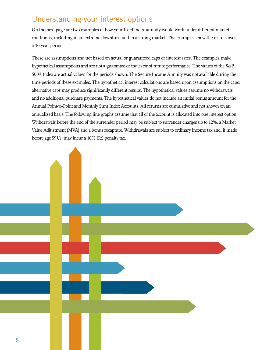## Understanding your interest options

On the next page are two examples of how your fixed index annuity would work under different market conditions, including in an extreme downturn and in a strong market. The examples show the results over a 10-year period.

These are assumptions and not based on actual or guaranteed caps or interest rates. The examples make hypothetical assumptions and are not a guarantee or indicator of future performance. The values of the S&P 500® Index are actual values for the periods shown. The Secure Income Annuity was not available during the time periods of these examples. The hypothetical interest calculations are based upon assumptions on the caps; alternative caps may produce significantly different results. The hypothetical values assume no withdrawals and no additional purchase payments. The hypothetical values do not include an initial bonus amount for the Annual Point-to-Point and Monthly Sum Index Accounts. All returns are cumulative and not shown on an annualized basis. The following line graphs assume that all of the account is allocated into one interest option. Withdrawals before the end of the surrender period may be subject to surrender charges up to 12%, a Market Value Adjustment (MVA) and a bonus recapture. Withdrawals are subject to ordinary income tax and, if made before age 591/2, may incur a 10% IRS penalty tax.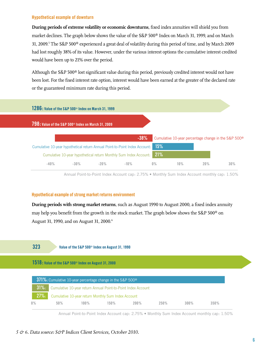#### **Hypothetical example of downturn**

**During periods of extreme volatility or economic downturns**, fixed index annuities will shield you from market declines. The graph below shows the value of the S&P 500® Index on March 31, 1999, and on March 31, 2009.5 The S&P 500® experienced a great deal of volatility during this period of time, and by March 2009 had lost roughly 38% of its value. However, under the various interest options the cumulative interest credited would have been up to 21% over the period.

Although the S&P 500® lost significant value during this period, previously credited interest would not have been lost. For the fixed interest rate option, interest would have been earned at the greater of the declared rate or the guaranteed minimum rate during this period.



Annual Point-to-Point Index Account cap: 2.75% • Monthly Sum Index Account monthly cap: 1.50%

#### **Hypothetical example of strong market returns environment**

**During periods with strong market returns**, such as August 1990 to August 2000, a fixed index annuity may help you benefit from the growth in the stock market. The graph below shows the S&P 500® on August 31, 1990, and on August 31, 2000.<sup>6</sup>

### **323**

#### **Value of the S&P 500**® **Index on August 31, 1990**

**1518: Value of the S&P 500**® **Index on August 31, 2000**

| 371%: Cumulative 10-year percentage change in the S&P 500 <sup>®</sup> |                                                               |         |         |      |      |         |      |  |  |
|------------------------------------------------------------------------|---------------------------------------------------------------|---------|---------|------|------|---------|------|--|--|
| $31\%$                                                                 | Cumulative 10-year return Annual Point-to-Point Index Account |         |         |      |      |         |      |  |  |
| $-27\%$ :                                                              | Cumulative 10-year return Monthly Sum Index Account           |         |         |      |      |         |      |  |  |
| $0\%$                                                                  | 50%                                                           | $100\%$ | $150\%$ | 200% | 250% | $300\%$ | 350% |  |  |

Annual Point-to-Point Index Account cap: 2.75% • Monthly Sum Index Account monthly cap: 1.50%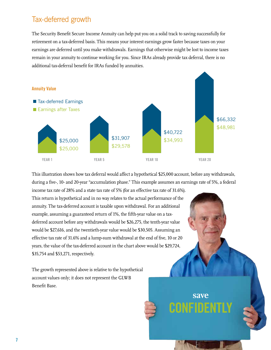## Tax-deferred growth

The Security Benefit Secure Income Annuity can help put you on a solid track to saving successfully for retirement on a tax-deferred basis. This means your interest earnings grow faster because taxes on your earnings are deferred until you make withdrawals. Earnings that otherwise might be lost to income taxes remain in your annuity to continue working for you. Since IRAs already provide tax deferral, there is no additional tax-deferral benefit for IRAs funded by annuities.



This illustration shows how tax deferral would affect a hypothetical \$25,000 account, before any withdrawals, during a five-, 10- and 20-year "accumulation phase." This example assumes an earnings rate of 5%, a federal

**save** 

**CONFIDENTLY**

income tax rate of 28% and a state tax rate of 5% (for an effective tax rate of 31.6%). This return is hypothetical and in no way relates to the actual performance of the annuity. The tax-deferred account is taxable upon withdrawal. For an additional example, assuming a guaranteed return of 1%, the fifth-year value on a taxdeferred account before any withdrawals would be \$26,275, the tenth-year value would be \$27,616, and the twentieth-year value would be \$30,505. Assuming an effective tax rate of 31.6% and a lump-sum withdrawal at the end of five, 10 or 20 years, the value of the tax-deferred account in the chart above would be \$29,724, \$35,754 and \$53,271, respectively.

The growth represented above is relative to the hypothetical account values only; it does not represent the GLWB Benefit Base.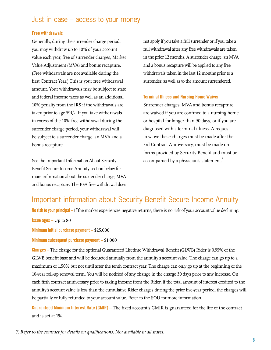## Just in case – access to your money

#### **Free withdrawals**

Generally, during the surrender charge period, you may withdraw up to 10% of your account value each year, free of surrender charges, Market Value Adjustment (MVA) and bonus recapture. (Free withdrawals are not available during the first Contract Year.) This is your free withdrawal amount. Your withdrawals may be subject to state and federal income taxes as well as an additional 10% penalty from the IRS if the withdrawals are taken prior to age 591/2. If you take withdrawals in excess of the 10% free withdrawal during the surrender charge period, your withdrawal will be subject to a surrender charge, an MVA and a bonus recapture.

See the Important Information About Security Benefit Secure Income Annuity section below for more information about the surrender charge, MVA and bonus recapture. The 10% free withdrawal does not apply if you take a full surrender or if you take a full withdrawal after any free withdrawals are taken in the prior 12 months. A surrender charge, an MVA and a bonus recapture will be applied to any free withdrawals taken in the last 12 months prior to a surrender, as well as to the amount surrendered.

#### **Terminal Illness and Nursing Home Waiver**

Surrender charges, MVA and bonus recapture are waived if you are confined to a nursing home or hospital for longer than 90 days, or if you are diagnosed with a terminal illness. A request to waive these charges must be made after the 3rd Contract Anniversary, must be made on forms provided by Security Benefit and must be accompanied by a physician's statement.<sup>7</sup>

## Important information about Security Benefit Secure Income Annuity

**No risk to your principal –** If the market experiences negative returns, there is no risk of your account value declining.

**Issue ages** – Up to 80

**Minimum initial purchase payment –** \$25,000

#### **Minimum subsequent purchase payment –** \$1,000

**Charges –** The charge for the optional Guaranteed Lifetime Withdrawal Benefit (GLWB) Rider is 0.95% of the GLWB benefit base and will be deducted annually from the annuity's account value. The charge can go up to a maximum of 1.50% but not until after the tenth contract year. The charge can only go up at the beginning of the 10-year roll-up renewal term. You will be notified of any change in the charge 30 days prior to any increase. On each fifth contract anniversary prior to taking income from the Rider, if the total amount of interest credited to the annuity's account value is less than the cumulative Rider charges during the prior five-year period, the charges will be partially or fully refunded to your account value. Refer to the SOU for more information.

**Guaranteed Minimum Interest Rate (GMIR) –** The fixed account's GMIR is guaranteed for the life of the contract and is set at 1%.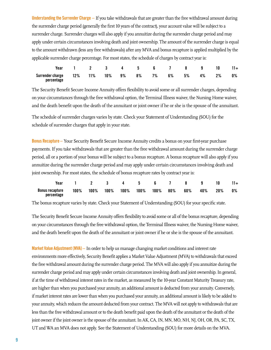**Understanding the Surrender Charge –** If you take withdrawals that are greater than the free withdrawal amount during the surrender charge period (generally the first 10 years of the contract), your account value will be subject to a surrender charge. Surrender charges will also apply if you annuitize during the surrender charge period and may apply under certain circumstances involving death and joint ownership. The amount of the surrender charge is equal to the amount withdrawn (less any free withdrawals) after any MVA and bonus recapture is applied multiplied by the applicable surrender charge percentage. For most states, the schedule of charges by contract year is:

|                                                                 |  |  |  | Year 1 2 3 4 5 6 7 8 9 10 11+ |  |    |
|-----------------------------------------------------------------|--|--|--|-------------------------------|--|----|
| Surrender charge 12% 11% 10% 9% 8% 7% 6% 5% 4% 2%<br>percentage |  |  |  |                               |  | 0% |

The Security Benefit Secure Income Annuity offers flexibility to avoid some or all surrender charges, depending on your circumstances through the free withdrawal option, the Terminal Illness waiver, the Nursing Home waiver, and the death benefit upon the death of the annuitant or joint owner if he or she is the spouse of the annuitant.

The schedule of surrender charges varies by state. Check your Statement of Understanding (SOU) for the schedule of surrender charges that apply in your state.

**Bonus Recapture –** Your Security Benefit Secure Income Annuity credits a bonus on your first-year purchase payments. If you take withdrawals that are greater than the free withdrawal amount during the surrender charge period, all or a portion of your bonus will be subject to a bonus recapture. A bonus recapture will also apply if you annuitize during the surrender charge period and may apply under certain circumstances involving death and joint ownership. For most states, the schedule of bonus recapture rates by contract year is:

|                                                                                | Year 1 2 3 4 5 6 7 8 9 10 |  |  |  |  | $11+$ |
|--------------------------------------------------------------------------------|---------------------------|--|--|--|--|-------|
| Bonus recapture 100% 100% 100% 100% 100% 100% 80% 60% 40% 20% 0%<br>percentage |                           |  |  |  |  |       |

The bonus recapture varies by state. Check your Statement of Understanding (SOU) for your specific state.

The Security Benefit Secure Income Annuity offers flexibility to avoid some or all of the bonus recapture, depending on your circumstances through the free withdrawal option, the Terminal Illness waiver, the Nursing Home waiver, and the death benefit upon the death of the annuitant or joint owner if he or she is the spouse of the annuitant.

**Market Value Adjustment (MVA) –** In order to help us manage changing market conditions and interest rate environments more effectively, Security Benefit applies a Market Value Adjustment (MVA) to withdrawals that exceed the free withdrawal amount during the surrender charge period. The MVA will also apply if you annuitize during the surrender charge period and may apply under certain circumstances involving death and joint ownership. In general, if at the time of withdrawal interest rates in the market, as measured by the 10-year Constant Maturity Treasury rate, are higher than when you purchased your annuity, an additional amount is deducted from your annuity. Conversely, if market interest rates are lower than when you purchased your annuity, an additional amount is likely to be added to your annuity, which reduces the amount deducted from your contract. The MVA will not apply to withdrawals that are less than the free withdrawal amount or to the death benefit paid upon the death of the annuitant or the death of the joint owner if the joint owner is the spouse of the annuitant. In AK, CA, IN, MN, MO, NH, NJ, OH, OR, PA, SC, TX, UT and WA an MVA does not apply. See the Statement of Understanding (SOU) for more details on the MVA.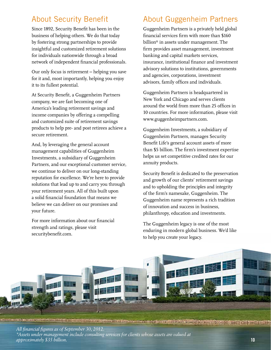## About Security Benefit

Since 1892, Security Benefit has been in the business of helping others. We do that today by fostering strong partnerships to provide insightful and customized retirement solutions for individuals nationwide through a broad network of independent financial professionals.

Our only focus is retirement – helping you save for it and, most importantly, helping you enjoy it to its fullest potential.

At Security Benefit, a Guggenheim Partners company, we are fast becoming one of America's leading retirement savings and income companies by offering a compelling and customized suite of retirement savings products to help pre- and post retirees achieve a secure retirement.

And, by leveraging the general account management capabilities of Guggenheim Investments, a subsidiary of Guggenheim Partners, and our exceptional customer service, we continue to deliver on our long-standing reputation for excellence. We're here to provide solutions that lead up to and carry you through your retirement years. All of this built upon a solid financial foundation that means we believe we can deliver on our promises and your future.

For more information about our financial strength and ratings, please visit securitybenefit.com.

## About Guggenheim Partners

Guggenheim Partners is a privately held global financial services firm with more than \$160 billion\* in assets under management. The firm provides asset management, investment banking and capital markets services, insurance, institutional finance and investment advisory solutions to institutions, governments and agencies, corporations, investment advisors, family offices and individuals.

Guggenheim Partners is headquartered in New York and Chicago and serves clients around the world from more than 25 offices in 10 countries. For more information, please visit www.guggenheimpartners.com.

Guggenheim Investments, a subsidiary of Guggenheim Partners, manages Security Benefit Life's general account assets of more than \$5 billion. The firm's investment expertise helps us set competitive credited rates for our annuity products.

Security Benefit is dedicated to the preservation and growth of our clients' retirement savings and to upholding the principles and integrity of the firm's namesake, Guggenheim. The Guggenheim name represents a rich tradition of innovation and success in business, philanthropy, education and investments.

The Guggenheim legacy is one of the most enduring in modern global business. We'd like to help you create your legacy.



e Marchant (1979), et al. 1989, et al. 1989, et al. 1989, et al. 1989, et al. 1989, et al. 1989, et al. 1989,

*All financial figures as of September 30, 2012. \*Assets under management include consulting services for clients whose assets are valued at approximately \$35 billion.* **10**